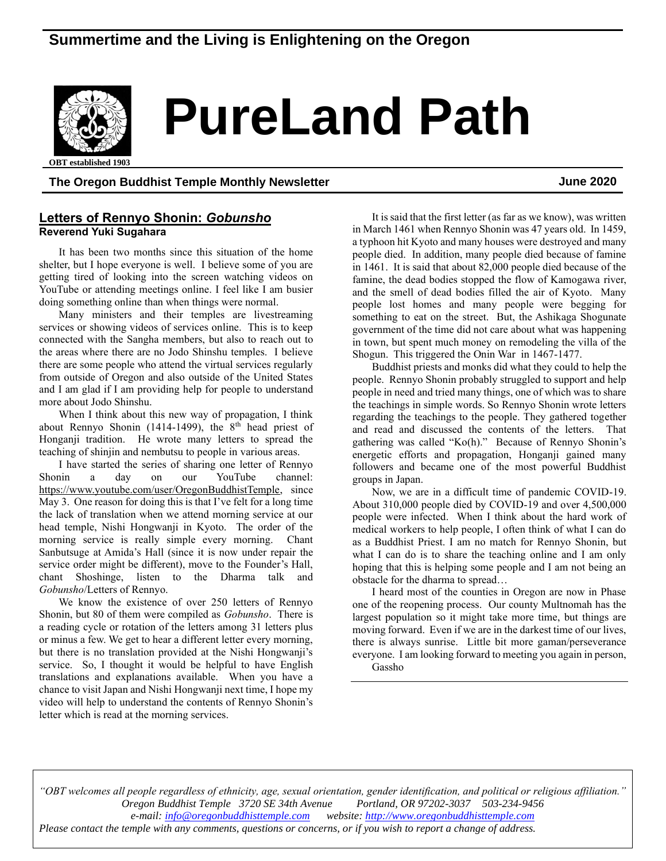# **Summertime and the Living is Enlightening on the Oregon**



# **PureLand Path**

**OBT** established 1903

#### **The Oregon Buddhist Temple Monthly Newsletter June 2020**

#### **Letters of Rennyo Shonin:** *Gobunsho* **Reverend Yuki Sugahara**

It has been two months since this situation of the home shelter, but I hope everyone is well. I believe some of you are getting tired of looking into the screen watching videos on YouTube or attending meetings online. I feel like I am busier doing something online than when things were normal.

Many ministers and their temples are livestreaming services or showing videos of services online. This is to keep connected with the Sangha members, but also to reach out to the areas where there are no Jodo Shinshu temples. I believe there are some people who attend the virtual services regularly from outside of Oregon and also outside of the United States and I am glad if I am providing help for people to understand more about Jodo Shinshu.

When I think about this new way of propagation, I think about Rennyo Shonin (1414-1499), the  $8<sup>th</sup>$  head priest of Honganji tradition. He wrote many letters to spread the teaching of shinjin and nembutsu to people in various areas.

I have started the series of sharing one letter of Rennyo Shonin a day on our YouTube channel: [https://www.youtube.com/user/OregonBuddhistTemple,](https://www.youtube.com/user/OregonBuddhistTemple) since May 3. One reason for doing this is that I've felt for a long time the lack of translation when we attend morning service at our head temple, Nishi Hongwanji in Kyoto. The order of the morning service is really simple every morning. Chant Sanbutsuge at Amida's Hall (since it is now under repair the service order might be different), move to the Founder's Hall, chant Shoshinge, listen to the Dharma talk and *Gobunsho*/Letters of Rennyo.

We know the existence of over 250 letters of Rennyo Shonin, but 80 of them were compiled as *Gobunsho*. There is a reading cycle or rotation of the letters among 31 letters plus or minus a few. We get to hear a different letter every morning, but there is no translation provided at the Nishi Hongwanji's service. So, I thought it would be helpful to have English translations and explanations available. When you have a chance to visit Japan and Nishi Hongwanji next time, I hope my video will help to understand the contents of Rennyo Shonin's letter which is read at the morning services.

It is said that the first letter (as far as we know), was written in March 1461 when Rennyo Shonin was 47 years old. In 1459, a typhoon hit Kyoto and many houses were destroyed and many people died. In addition, many people died because of famine in 1461. It is said that about 82,000 people died because of the famine, the dead bodies stopped the flow of Kamogawa river, and the smell of dead bodies filled the air of Kyoto. Many people lost homes and many people were begging for something to eat on the street. But, the Ashikaga Shogunate government of the time did not care about what was happening in town, but spent much money on remodeling the villa of the Shogun. This triggered the Onin War in 1467-1477.

Buddhist priests and monks did what they could to help the people. Rennyo Shonin probably struggled to support and help people in need and tried many things, one of which was to share the teachings in simple words. So Rennyo Shonin wrote letters regarding the teachings to the people. They gathered together and read and discussed the contents of the letters. That gathering was called "Ko(h)." Because of Rennyo Shonin's energetic efforts and propagation, Honganji gained many followers and became one of the most powerful Buddhist groups in Japan.

Now, we are in a difficult time of pandemic COVID-19. About 310,000 people died by COVID-19 and over 4,500,000 people were infected. When I think about the hard work of medical workers to help people, I often think of what I can do as a Buddhist Priest. I am no match for Rennyo Shonin, but what I can do is to share the teaching online and I am only hoping that this is helping some people and I am not being an obstacle for the dharma to spread…

I heard most of the counties in Oregon are now in Phase one of the reopening process. Our county Multnomah has the largest population so it might take more time, but things are moving forward. Even if we are in the darkest time of our lives, there is always sunrise. Little bit more gaman/perseverance everyone. I am looking forward to meeting you again in person,

Gassho

*"OBT welcomes all people regardless of ethnicity, age, sexual orientation, gender identification, and political or religious affiliation." Oregon Buddhist Temple* 3720 SE 34th Avenue *e-mail[: info@oregonbuddhisttemple.com](mailto:info@oregonbuddhisttemple.com) website: [http://www.oregonbuddhisttemple.com](http://www.oregonbuddhisttemple.com/) Please contact the temple with any comments, questions or concerns, or if you wish to report a change of address.*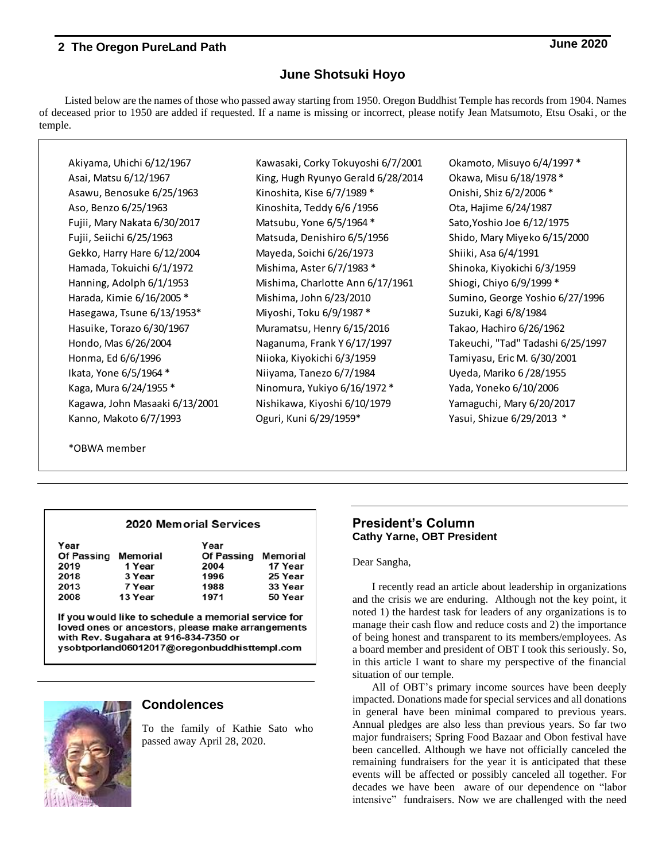## **June Shotsuki Hoyo**

Listed below are the names of those who passed away starting from 1950. Oregon Buddhist Temple has records from 1904. Names of deceased prior to 1950 are added if requested. If a name is missing or incorrect, please notify Jean Matsumoto, Etsu Osaki, or the temple.

Akiyama, Uhichi 6/12/1967 Kawasaki, Corky Tokuyoshi 6/7/2001 Ckamoto, Misuyo 6/4/1997 \* Asai, Matsu 6/12/1967 King, Hugh Ryunyo Gerald 6/28/2014 Okawa, Misu 6/18/1978 \* Asawu, Benosuke 6/25/1963 Kinoshita, Kise 6/7/1989 \* Onishi, Shiz 6/2/2006 \* Aso, Benzo 6/25/1963 Kinoshita, Teddy 6/6 /1956 Ota, Hajime 6/24/1987 Fujii, Mary Nakata 6/30/2017 Matsubu, Yone 6/5/1964 \* Sato,Yoshio Joe 6/12/1975 Fujii, Seiichi 6/25/1963 Matsuda, Denishiro 6/5/1956 Shido, Mary Miyeko 6/15/2000 Gekko, Harry Hare 6/12/2004 Mayeda, Soichi 6/26/1973 Shiiki, Asa 6/4/1991 Hamada, Tokuichi 6/1/1972 Mishima, Aster 6/7/1983 \* Shinoka, Kiyokichi 6/3/1959 Hanning, Adolph 6/1/1953 Mishima, Charlotte Ann 6/17/1961 Shiogi, Chiyo 6/9/1999 \* Harada, Kimie 6/16/2005 \* Mishima, John 6/23/2010 Sumino, George Yoshio 6/27/1996 Hasegawa, Tsune 6/13/1953\* Miyoshi, Toku 6/9/1987 \* Suzuki, Kagi 6/8/1984 Hasuike, Torazo 6/30/1967 Muramatsu, Henry 6/15/2016 Takao, Hachiro 6/26/1962 Hondo, Mas 6/26/2004 Naganuma, Frank Y 6/17/1997 Takeuchi, "Tad" Tadashi 6/25/1997 Honma, Ed 6/6/1996 Niioka, Kiyokichi 6/3/1959 Tamiyasu, Eric M. 6/30/2001 Ikata, Yone 6/5/1964 \* Niiyama, Tanezo 6/7/1984 Uyeda, Mariko 6 /28/1955 Kaga, Mura 6/24/1955 \* Ninomura, Yukiyo 6/16/1972 \* Yada, Yoneko 6/10/2006 Kagawa, John Masaaki 6/13/2001 Nishikawa, Kiyoshi 6/10/1979 Yamaguchi, Mary 6/20/2017 Kanno, Makoto 6/7/1993 Oguri, Kuni 6/29/1959\* Yasui, Shizue 6/29/2013 \*

\*OBWA member

#### **2020 Memorial Services**

| Year              |          | Year              |          |
|-------------------|----------|-------------------|----------|
| <b>Of Passing</b> | Memorial | <b>Of Passing</b> | Memorial |
| 2019              | 1 Year   | 2004              | 17 Year  |
| 2018              | 3 Year   | 1996              | 25 Year  |
| 2013              | 7 Year   | 1988              | 33 Year  |
| 2008              | 13 Year  | 1971              | 50 Year  |

If you would like to schedule a memorial service for loved ones or ancestors, please make arrangements with Rev. Sugahara at 916-834-7350 or ysobtporland06012017@oregonbuddhisttempl.com



#### **Condolences**

To the family of Kathie Sato who passed away April 28, 2020.

#### **President's Column Cathy Yarne, OBT President**

#### Dear Sangha,

I recently read an article about leadership in organizations and the crisis we are enduring. Although not the key point, it noted 1) the hardest task for leaders of any organizations is to manage their cash flow and reduce costs and 2) the importance of being honest and transparent to its members/employees. As a board member and president of OBT I took this seriously. So, in this article I want to share my perspective of the financial situation of our temple.

All of OBT's primary income sources have been deeply impacted. Donations made for special services and all donations in general have been minimal compared to previous years. Annual pledges are also less than previous years. So far two major fundraisers; Spring Food Bazaar and Obon festival have been cancelled. Although we have not officially canceled the remaining fundraisers for the year it is anticipated that these events will be affected or possibly canceled all together. For decades we have been aware of our dependence on "labor intensive" fundraisers. Now we are challenged with the need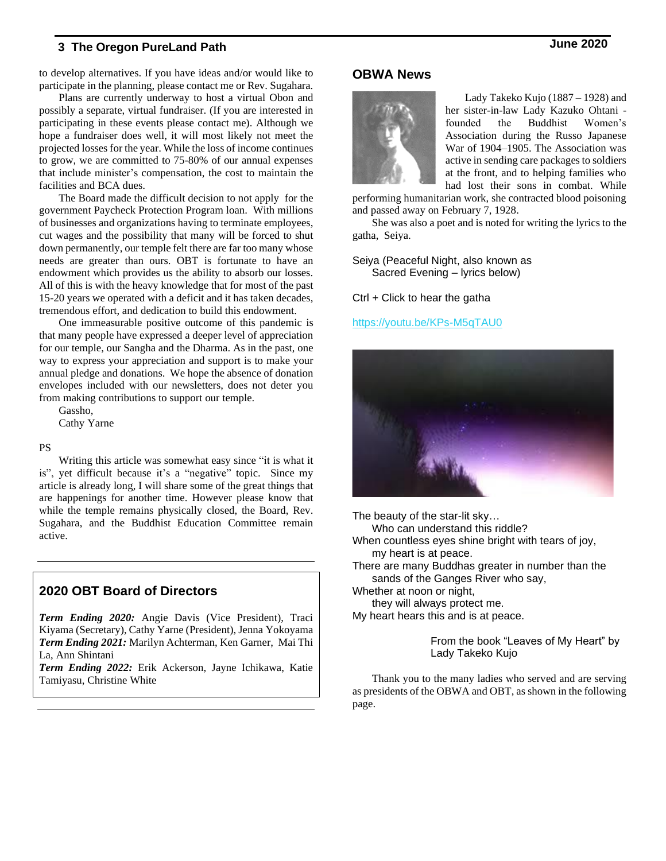to develop alternatives. If you have ideas and/or would like to participate in the planning, please contact me or Rev. Sugahara.

Plans are currently underway to host a virtual Obon and possibly a separate, virtual fundraiser. (If you are interested in participating in these events please contact me). Although we hope a fundraiser does well, it will most likely not meet the projected lossesfor the year. While the loss of income continues to grow, we are committed to 75-80% of our annual expenses that include minister's compensation, the cost to maintain the facilities and BCA dues.

The Board made the difficult decision to not apply for the government Paycheck Protection Program loan. With millions of businesses and organizations having to terminate employees, cut wages and the possibility that many will be forced to shut down permanently, our temple felt there are far too many whose needs are greater than ours. OBT is fortunate to have an endowment which provides us the ability to absorb our losses. All of this is with the heavy knowledge that for most of the past 15-20 years we operated with a deficit and it has taken decades, tremendous effort, and dedication to build this endowment.

One immeasurable positive outcome of this pandemic is that many people have expressed a deeper level of appreciation for our temple, our Sangha and the Dharma. As in the past, one way to express your appreciation and support is to make your annual pledge and donations. We hope the absence of donation envelopes included with our newsletters, does not deter you from making contributions to support our temple.

Gassho, Cathy Yarne

#### PS

Writing this article was somewhat easy since "it is what it is", yet difficult because it's a "negative" topic. Since my article is already long, I will share some of the great things that are happenings for another time. However please know that while the temple remains physically closed, the Board, Rev. Sugahara, and the Buddhist Education Committee remain active.

## **2020 OBT Board of Directors**

*Term Ending 2020:* Angie Davis (Vice President), Traci Kiyama (Secretary), Cathy Yarne (President), Jenna Yokoyama *Term Ending 2021:* Marilyn Achterman, Ken Garner, Mai Thi La, Ann Shintani

*Term Ending 2022:* Erik Ackerson, Jayne Ichikawa, Katie Tamiyasu, Christine White

## **OBWA News**



Lady Takeko Kujo (1887 – 1928) and her sister-in-law Lady Kazuko Ohtani founded the Buddhist Women's Association during the Russo Japanese War of 1904–1905. The Association was active in sending care packages to soldiers at the front, and to helping families who had lost their sons in combat. While

performing humanitarian work, she contracted blood poisoning and passed away on February 7, 1928.

She was also a poet and is noted for writing the lyrics to the gatha, Seiya.

Seiya (Peaceful Night, also known as Sacred Evening – lyrics below)

Ctrl + Click to hear the gatha

<https://youtu.be/KPs-M5qTAU0>



The beauty of the star-lit sky…

Who can understand this riddle?

When countless eyes shine bright with tears of joy, my heart is at peace.

There are many Buddhas greater in number than the sands of the Ganges River who say,

Whether at noon or night,

they will always protect me.

My heart hears this and is at peace.

From the book "Leaves of My Heart" by Lady Takeko Kujo

Thank you to the many ladies who served and are serving as presidents of the OBWA and OBT, as shown in the following page.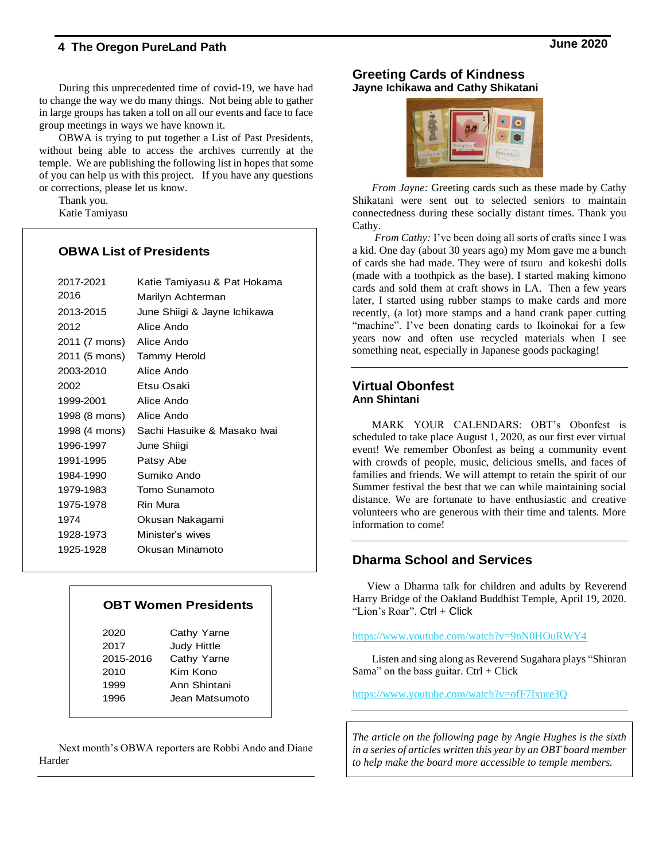During this unprecedented time of covid-19, we have had to change the way we do many things. Not being able to gather in large groups has taken a toll on all our events and face to face group meetings in ways we have known it.

OBWA is trying to put together a List of Past Presidents, without being able to access the archives currently at the temple. We are publishing the following list in hopes that some of you can help us with this project. If you have any questions or corrections, please let us know.

Thank you. Katie Tamiyasu

#### **OBWA List of Presidents**

| 2017-2021                  | Katie Tamiyasu & Pat Hokama                  |
|----------------------------|----------------------------------------------|
| 2016                       | Marilyn Achterman                            |
| 2013-2015                  | June Shiigi & Jayne Ichikawa                 |
| 2012                       | Alice Ando                                   |
| 2011 (7 mons) Alice Ando   |                                              |
| 2011 (5 mons) Tammy Herold |                                              |
| 2003-2010                  | Alice Ando                                   |
| 2002                       | Etsu Osaki                                   |
| 1999-2001                  | Alice Ando                                   |
| 1998 (8 mons) Alice Ando   |                                              |
|                            | 1998 (4 mons)    Sachi Hasuike & Masako Iwai |
| 1996-1997                  | June Shiigi                                  |
| 1991-1995                  | Patsy Abe                                    |
| 1984-1990                  | Sumiko Ando                                  |
| 1979-1983                  | Tomo Sunamoto                                |
| 1975-1978                  | Rin Mura                                     |
| 1974                       | Okusan Nakagami                              |
| 1928-1973                  | Minister's wives                             |
| 1925-1928                  | Okusan Minamoto                              |
|                            |                                              |

#### **OBT Women Presidents**

| 2020      | Cathy Yarne        |
|-----------|--------------------|
| 2017      | <b>Judy Hittle</b> |
| 2015-2016 | Cathy Yarne        |
| 2010      | Kim Kono           |
| 1999      | Ann Shintani       |
| 1996      | Jean Matsumoto     |
|           |                    |

Next month's OBWA reporters are Robbi Ando and Diane Harder

#### **Greeting Cards of Kindness Jayne Ichikawa and Cathy Shikatani**



*From Jayne:* Greeting cards such as these made by Cathy Shikatani were sent out to selected seniors to maintain connectedness during these socially distant times. Thank you Cathy.

*From Cathy:* I've been doing all sorts of crafts since I was a kid. One day (about 30 years ago) my Mom gave me a bunch of cards she had made. They were of tsuru and kokeshi dolls (made with a toothpick as the base). I started making kimono cards and sold them at craft shows in LA. Then a few years later, I started using rubber stamps to make cards and more recently, (a lot) more stamps and a hand crank paper cutting "machine". I've been donating cards to Ikoinokai for a few years now and often use recycled materials when I see something neat, especially in Japanese goods packaging!

#### **Virtual Obonfest Ann Shintani**

MARK YOUR CALENDARS: OBT's Obonfest is scheduled to take place August 1, 2020, as our first ever virtual event! We remember Obonfest as being a community event with crowds of people, music, delicious smells, and faces of families and friends. We will attempt to retain the spirit of our Summer festival the best that we can while maintaining social distance. We are fortunate to have enthusiastic and creative volunteers who are generous with their time and talents. More information to come!

## **Dharma School and Services**

View a Dharma talk for children and adults by Reverend Harry Bridge of the Oakland Buddhist Temple, April 19, 2020. "Lion's Roar". Ctrl + Click

#### <https://www.youtube.com/watch?v=9nN0HOuRWY4>

Listen and sing along as Reverend Sugahara plays "Shinran Sama" on the bass guitar.  $Ctrl + Click$ 

<https://www.youtube.com/watch?v=ofF7Ixure3Q>

*The article on the following page by Angie Hughes is the sixth in a series of articles written this year by an OBT board member to help make the board more accessible to temple members.*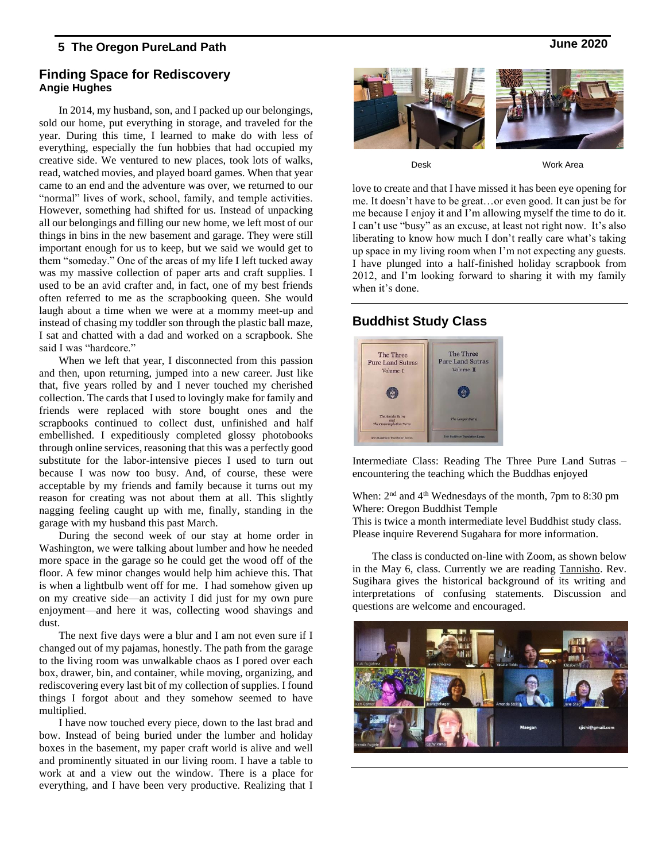#### **Finding Space for Rediscovery Angie Hughes**

In 2014, my husband, son, and I packed up our belongings, sold our home, put everything in storage, and traveled for the year. During this time, I learned to make do with less of everything, especially the fun hobbies that had occupied my creative side. We ventured to new places, took lots of walks, read, watched movies, and played board games. When that year came to an end and the adventure was over, we returned to our "normal" lives of work, school, family, and temple activities. However, something had shifted for us. Instead of unpacking all our belongings and filling our new home, we left most of our things in bins in the new basement and garage. They were still important enough for us to keep, but we said we would get to them "someday." One of the areas of my life I left tucked away was my massive collection of paper arts and craft supplies. I used to be an avid crafter and, in fact, one of my best friends often referred to me as the scrapbooking queen. She would laugh about a time when we were at a mommy meet-up and instead of chasing my toddler son through the plastic ball maze, I sat and chatted with a dad and worked on a scrapbook. She said I was "hardcore."

When we left that year, I disconnected from this passion and then, upon returning, jumped into a new career. Just like that, five years rolled by and I never touched my cherished collection. The cards that I used to lovingly make for family and friends were replaced with store bought ones and the scrapbooks continued to collect dust, unfinished and half embellished. I expeditiously completed glossy photobooks through online services, reasoning that this was a perfectly good substitute for the labor-intensive pieces I used to turn out because I was now too busy. And, of course, these were acceptable by my friends and family because it turns out my reason for creating was not about them at all. This slightly nagging feeling caught up with me, finally, standing in the garage with my husband this past March.

During the second week of our stay at home order in Washington, we were talking about lumber and how he needed more space in the garage so he could get the wood off of the floor. A few minor changes would help him achieve this. That is when a lightbulb went off for me. I had somehow given up on my creative side—an activity I did just for my own pure enjoyment—and here it was, collecting wood shavings and dust.

The next five days were a blur and I am not even sure if I changed out of my pajamas, honestly. The path from the garage to the living room was unwalkable chaos as I pored over each box, drawer, bin, and container, while moving, organizing, and rediscovering every last bit of my collection of supplies. I found things I forgot about and they somehow seemed to have multiplied.

I have now touched every piece, down to the last brad and bow. Instead of being buried under the lumber and holiday boxes in the basement, my paper craft world is alive and well and prominently situated in our living room. I have a table to work at and a view out the window. There is a place for everything, and I have been very productive. Realizing that I

love to create and that I have missed it has been eye opening for me. It doesn't have to be great…or even good. It can just be for me because I enjoy it and I'm allowing myself the time to do it. I can't use "busy" as an excuse, at least not right now. It's also liberating to know how much I don't really care what's taking up space in my living room when I'm not expecting any guests. I have plunged into a half-finished holiday scrapbook from Desk Work Area

2012, and I'm looking forward to sharing it with my family

## **Buddhist Study Class**

when it's done.



Intermediate Class: Reading The Three Pure Land Sutras – encountering the teaching which the Buddhas enjoyed

When:  $2<sup>nd</sup>$  and  $4<sup>th</sup>$  Wednesdays of the month, 7pm to 8:30 pm Where: Oregon Buddhist Temple

This is twice a month intermediate level Buddhist study class. Please inquire Reverend Sugahara for more information.

The class is conducted on-line with Zoom, as shown below in the May 6, class. Currently we are reading Tannisho. Rev. Sugihara gives the historical background of its writing and interpretations of confusing statements. Discussion and questions are welcome and encouraged.

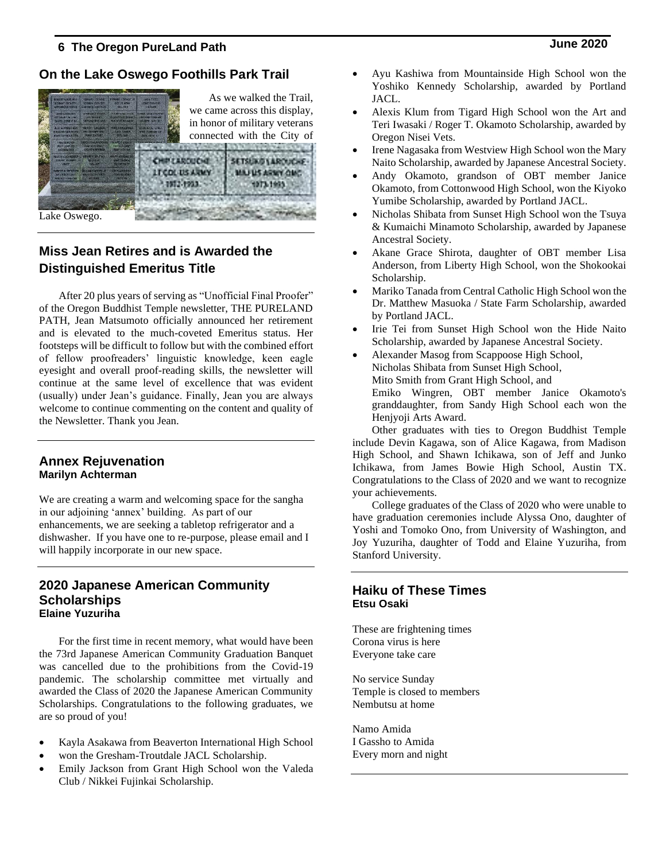## **On the Lake Oswego Foothills Park Trail**



Lake Oswego.

# **Miss Jean Retires and is Awarded the Distinguished Emeritus Title**

After 20 plus years of serving as "Unofficial Final Proofer" of the Oregon Buddhist Temple newsletter, THE PURELAND PATH, Jean Matsumoto officially announced her retirement and is elevated to the much-coveted Emeritus status. Her footsteps will be difficult to follow but with the combined effort of fellow proofreaders' linguistic knowledge, keen eagle eyesight and overall proof-reading skills, the newsletter will continue at the same level of excellence that was evident (usually) under Jean's guidance. Finally, Jean you are always welcome to continue commenting on the content and quality of the Newsletter. Thank you Jean.

#### **Annex Rejuvenation Marilyn Achterman**

We are creating a warm and welcoming space for the sangha in our adjoining 'annex' building. As part of our enhancements, we are seeking a tabletop refrigerator and a dishwasher. If you have one to re-purpose, please email and I will happily incorporate in our new space.

#### **2020 Japanese American Community Scholarships Elaine Yuzuriha**

For the first time in recent memory, what would have been the 73rd Japanese American Community Graduation Banquet was cancelled due to the prohibitions from the Covid-19 pandemic. The scholarship committee met virtually and awarded the Class of 2020 the Japanese American Community Scholarships. Congratulations to the following graduates, we are so proud of you!

- Kayla Asakawa from Beaverton International High School
- won the Gresham-Troutdale JACL Scholarship.
- Emily Jackson from Grant High School won the Valeda Club / Nikkei Fujinkai Scholarship.
- Ayu Kashiwa from Mountainside High School won the Yoshiko Kennedy Scholarship, awarded by Portland JACL.
- Alexis Klum from Tigard High School won the Art and Teri Iwasaki / Roger T. Okamoto Scholarship, awarded by Oregon Nisei Vets.
- Irene Nagasaka from Westview High School won the Mary Naito Scholarship, awarded by Japanese Ancestral Society.
- Andy Okamoto, grandson of OBT member Janice Okamoto, from Cottonwood High School, won the Kiyoko Yumibe Scholarship, awarded by Portland JACL.
- Nicholas Shibata from Sunset High School won the Tsuya & Kumaichi Minamoto Scholarship, awarded by Japanese Ancestral Society.
- Akane Grace Shirota, daughter of OBT member Lisa Anderson, from Liberty High School, won the Shokookai Scholarship.
- Mariko Tanada from Central Catholic High School won the Dr. Matthew Masuoka / State Farm Scholarship, awarded by Portland JACL.
- Irie Tei from Sunset High School won the Hide Naito Scholarship, awarded by Japanese Ancestral Society.
- Alexander Masog from Scappoose High School, Nicholas Shibata from Sunset High School, Mito Smith from Grant High School, and Emiko Wingren, OBT member Janice Okamoto's granddaughter, from Sandy High School each won the Henjyoji Arts Award.

Other graduates with ties to Oregon Buddhist Temple include Devin Kagawa, son of Alice Kagawa, from Madison High School, and Shawn Ichikawa, son of Jeff and Junko Ichikawa, from James Bowie High School, Austin TX. Congratulations to the Class of 2020 and we want to recognize your achievements.

College graduates of the Class of 2020 who were unable to have graduation ceremonies include Alyssa Ono, daughter of Yoshi and Tomoko Ono, from University of Washington, and Joy Yuzuriha, daughter of Todd and Elaine Yuzuriha, from Stanford University.

#### **Haiku of These Times Etsu Osaki**

These are frightening times Corona virus is here Everyone take care

No service Sunday Temple is closed to members Nembutsu at home

Namo Amida I Gassho to Amida Every morn and night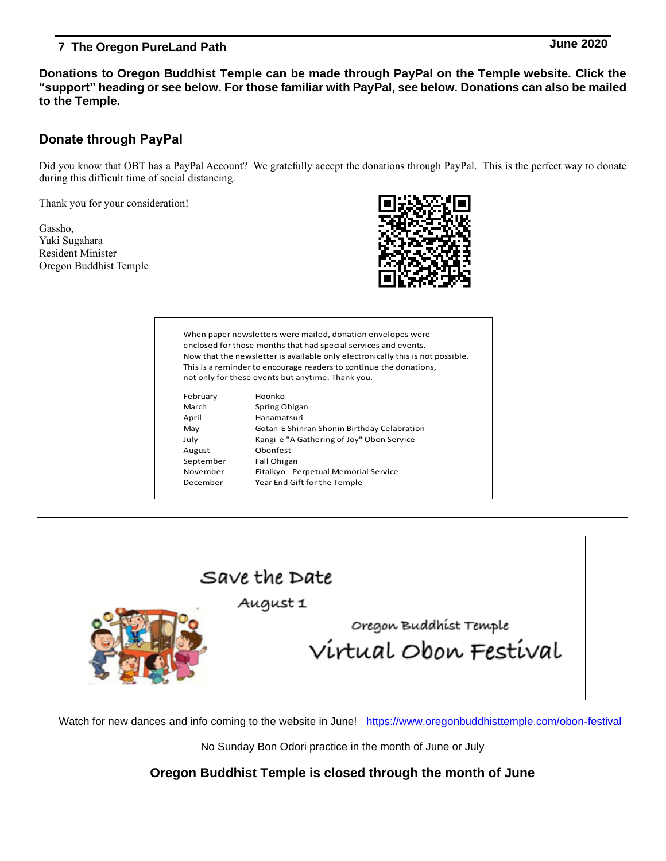**Donations to Oregon Buddhist Temple can be made through PayPal on the Temple website. Click the "support" heading or see below. For those familiar with PayPal, see below. Donations can also be mailed to the Temple.**

## **Donate through PayPal**

Did you know that OBT has a PayPal Account? We gratefully accept the donations through PayPal. This is the perfect way to donate during this difficult time of social distancing.

Thank you for your consideration!

Gassho, Yuki Sugahara Resident Minister Oregon Buddhist Temple



When paper newsletters were mailed, donation envelopes were enclosed for those months that had special services and events. Now that the newsletter is available only electronically this is not possible. This is a reminder to encourage readers to continue the donations, not only for these events but anytime. Thank you.

| February  | Hoonko                                      |
|-----------|---------------------------------------------|
| March     | Spring Ohigan                               |
| April     | Hanamatsuri                                 |
| May       | Gotan-E Shinran Shonin Birthday Celabration |
| July      | Kangi-e "A Gathering of Joy" Obon Service   |
| August    | Obonfest                                    |
| September | Fall Ohigan                                 |
| November  | Eitaikyo - Perpetual Memorial Service       |
| December  | Year End Gift for the Temple                |
|           |                                             |



Watch for new dances and info coming to the website in June! <https://www.oregonbuddhisttemple.com/obon-festival>

No Sunday Bon Odori practice in the month of June or July

**Oregon Buddhist Temple is closed through the month of June**